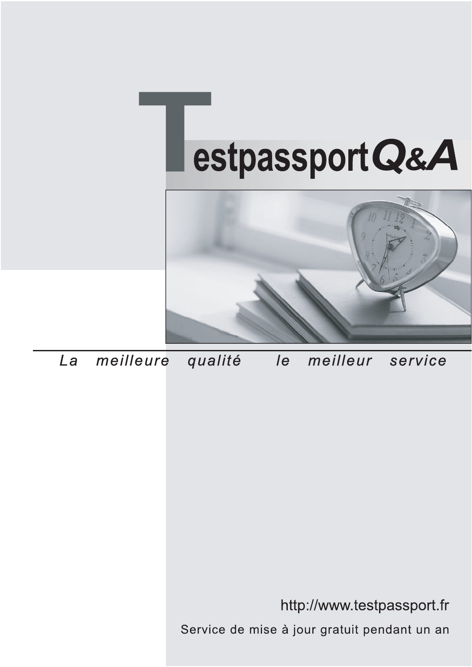



meilleure La qualité  $\overline{e}$ meilleur service

http://www.testpassport.fr

Service de mise à jour gratuit pendant un an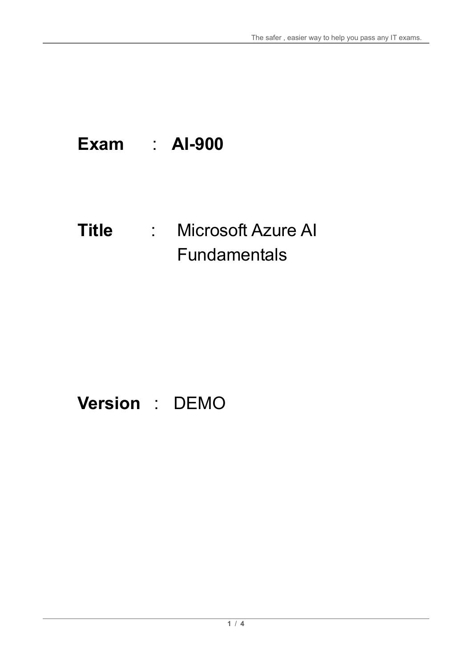## **Exam** : **AI-900**

### **Title** : Microsoft Azure AI Fundamentals

# **Version** : DEMO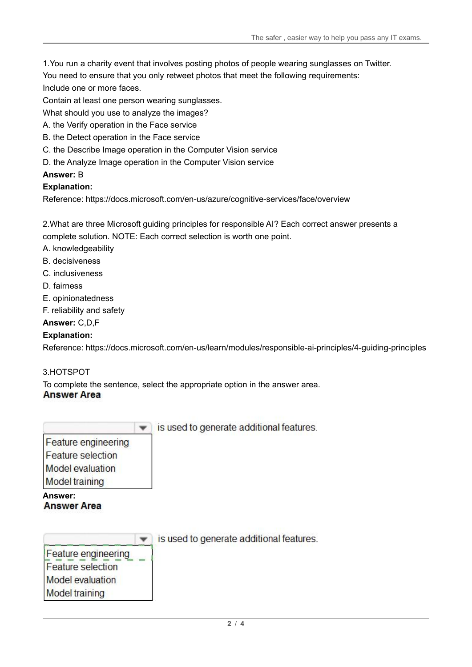1.You run a charity event that involves posting photos of people wearing sunglasses on Twitter.

You need to ensure that you only retweet photos that meet the following requirements:

Include one or more faces.

Contain at least one person wearing sunglasses.

What should you use to analyze the images?

- A. the Verify operation in the Face service
- B. the Detect operation in the Face service
- C. the Describe Image operation in the Computer Vision service
- D. the Analyze Image operation in the Computer Vision service

#### **Answer:** B

#### **Explanation:**

Reference: https://docs.microsoft.com/en-us/azure/cognitive-services/face/overview

2.What are three Microsoft guiding principles for responsible AI? Each correct answer presents a complete solution. NOTE: Each correct selection is worth one point.

- A. knowledgeability
- B. decisiveness
- C. inclusiveness
- D. fairness
- E. opinionatedness
- F. reliability and safety

#### **Answer:** C,D,F

#### **Explanation:**

Reference: https://docs.microsoft.com/en-us/learn/modules/responsible-ai-principles/4-guiding-principles

#### 3.HOTSPOT

To complete the sentence, select the appropriate option in the answer area. **Answer Area** 

|                                                                                              | is used to generate additional features. |
|----------------------------------------------------------------------------------------------|------------------------------------------|
| Feature engineering<br>Feature selection<br><b>Model</b> evaluation<br><b>Model training</b> |                                          |
| Answer:<br><b>Answer Area</b>                                                                |                                          |
|                                                                                              | is used to generate additional features. |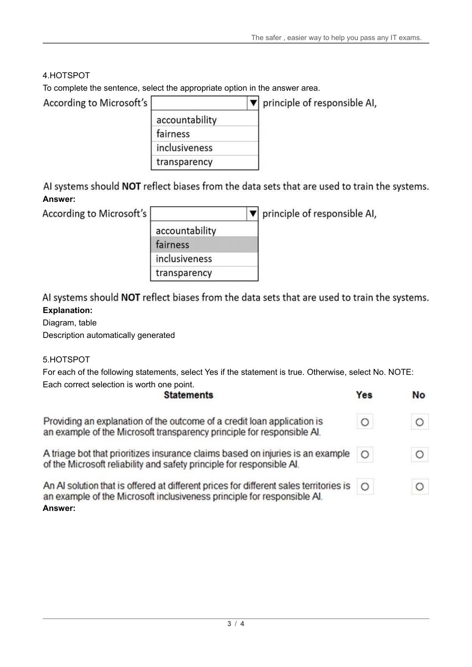#### 4.HOTSPOT

To complete the sentence, select the appropriate option in the answer area.

| According to Microsoft's |                | principle of responsible AI, |  |
|--------------------------|----------------|------------------------------|--|
|                          | accountability |                              |  |
|                          | fairness       |                              |  |
|                          | inclusiveness  |                              |  |
|                          | transparency   |                              |  |

AI systems should NOT reflect biases from the data sets that are used to train the systems. **Answer:**

According to Microsoft's

|                | principle of responsible AI, |
|----------------|------------------------------|
| accountability |                              |
| fairness       |                              |
| inclusiveness  |                              |
| transparency   |                              |

AI systems should NOT reflect biases from the data sets that are used to train the systems. **Explanation:**

#### Diagram, table

Description automatically generated

#### 5.HOTSPOT

For each of the following statements, select Yes if the statement is true. Otherwise, select No. NOTE: Each correct selection is worth one point.  $\sim$ 

| <b>Statements</b>                                                                                                                                                           |         | <b>No</b> |
|-----------------------------------------------------------------------------------------------------------------------------------------------------------------------------|---------|-----------|
| Providing an explanation of the outcome of a credit loan application is<br>an example of the Microsoft transparency principle for responsible AI.                           | O       | $\circ$   |
| A triage bot that prioritizes insurance claims based on injuries is an example<br>of the Microsoft reliability and safety principle for responsible Al.                     | $\circ$ | O         |
| An AI solution that is offered at different prices for different sales territories is<br>an example of the Microsoft inclusiveness principle for responsible Al.<br>Answer: | $\circ$ | $\circ$   |